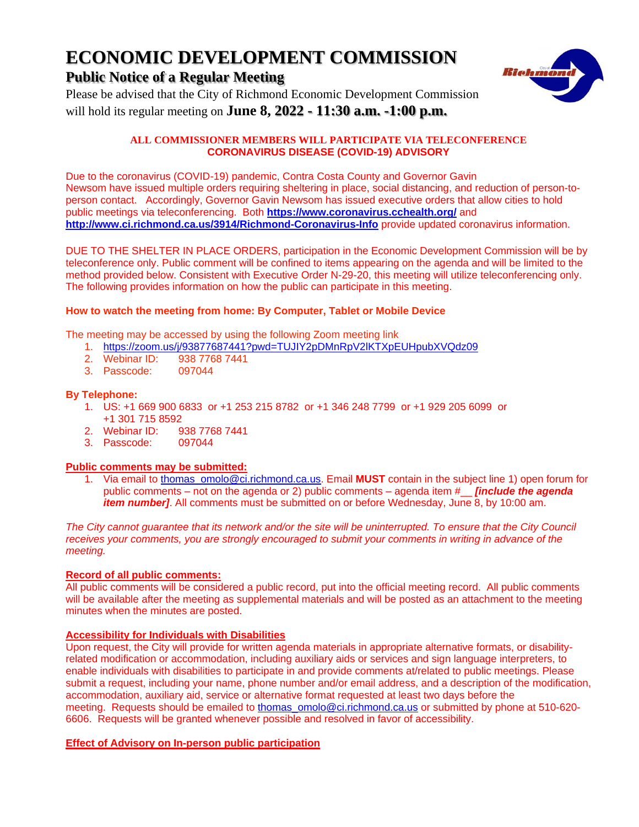# **ECONOMIC DEVELOPMENT COMMISSION**

# **Public Notice of a Regular Meeting**



Please be advised that the City of Richmond Economic Development Commission will hold its regular meeting on **June 8, 2022 - 11:30 a.m. -1:00 p.m.**

#### **ALL COMMISSIONER MEMBERS WILL PARTICIPATE VIA TELECONFERENCE CORONAVIRUS DISEASE (COVID-19) ADVISORY**

Due to the coronavirus (COVID-19) pandemic, Contra Costa County and Governor Gavin Newsom have issued multiple orders requiring sheltering in place, social distancing, and reduction of person-toperson contact. Accordingly, Governor Gavin Newsom has issued executive orders that allow cities to hold public meetings via teleconferencing. Both **<https://www.coronavirus.cchealth.org/>** and **<http://www.ci.richmond.ca.us/3914/Richmond-Coronavirus-Info>** provide updated coronavirus information.

DUE TO THE SHELTER IN PLACE ORDERS, participation in the Economic Development Commission will be by teleconference only. Public comment will be confined to items appearing on the agenda and will be limited to the method provided below. Consistent with Executive Order N-29-20, this meeting will utilize teleconferencing only. The following provides information on how the public can participate in this meeting.

#### **How to watch the meeting from home: By Computer, Tablet or Mobile Device**

The meeting may be accessed by using the following Zoom meeting link

- 1. <https://zoom.us/j/93877687441?pwd=TUJIY2pDMnRpV2lKTXpEUHpubXVQdz09>
- 2. Webinar ID: 938 7768 7441
- 3. Passcode: 097044

#### **By Telephone:**

- 1. US: +1 669 900 6833 or +1 253 215 8782 or +1 346 248 7799 or +1 929 205 6099 or +1 301 715 8592
- 2. Webinar ID: 938 7768 7441
- 3. Passcode:

#### **Public comments may be submitted:**

1. Via email to [thomas\\_omolo@ci.richmond.ca.us.](mailto:thomas_omolo@ci.richmond.ca.us) Email **MUST** contain in the subject line 1) open forum for public comments – not on the agenda or 2) public comments – agenda item #\_\_ *[include the agenda item number]*. All comments must be submitted on or before Wednesday, June 8, by 10:00 am.

*The City cannot guarantee that its network and/or the site will be uninterrupted. To ensure that the City Council receives your comments, you are strongly encouraged to submit your comments in writing in advance of the meeting.*

#### **Record of all public comments:**

All public comments will be considered a public record, put into the official meeting record. All public comments will be available after the meeting as supplemental materials and will be posted as an attachment to the meeting minutes when the minutes are posted.

#### **Accessibility for Individuals with Disabilities**

Upon request, the City will provide for written agenda materials in appropriate alternative formats, or disabilityrelated modification or accommodation, including auxiliary aids or services and sign language interpreters, to enable individuals with disabilities to participate in and provide comments at/related to public meetings. Please submit a request, including your name, phone number and/or email address, and a description of the modification, accommodation, auxiliary aid, service or alternative format requested at least two days before the meeting. Requests should be emailed to [thomas\\_omolo@ci.richmond.ca.us](mailto:thomas_omolo@ci.richmond.ca.us) or submitted by phone at 510-620- 6606. Requests will be granted whenever possible and resolved in favor of accessibility.

#### **Effect of Advisory on In-person public participation**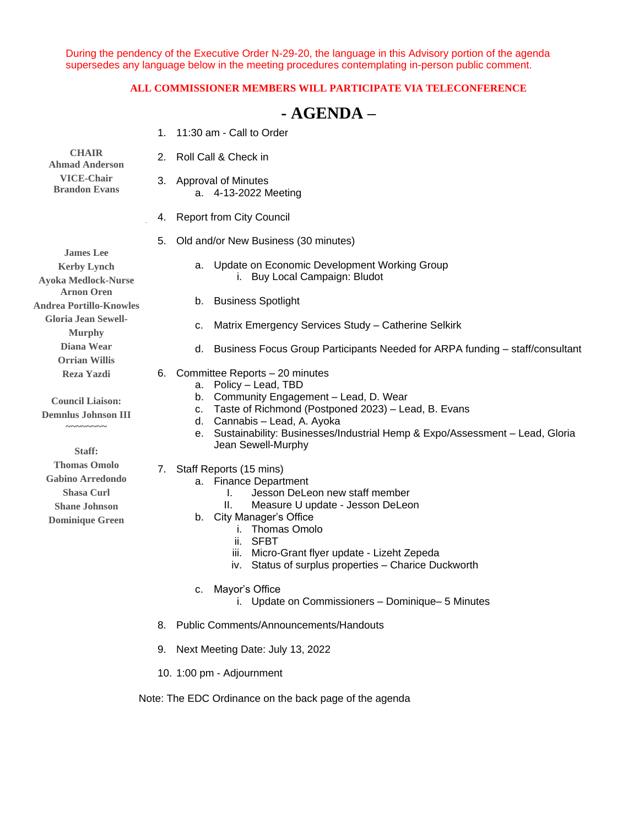During the pendency of the Executive Order N-29-20, the language in this Advisory portion of the agenda supersedes any language below in the meeting procedures contemplating in-person public comment.

#### **ALL COMMISSIONER MEMBERS WILL PARTICIPATE VIA TELECONFERENCE**

# **- AGENDA –**

| <b>CHAIR</b><br><b>Ahmad Anderson</b><br><b>VICE-Chair</b><br><b>Brandon Evans</b>                                                                                                                                                                                                                                                                                                                                                                                             |    | 1. 11:30 am - Call to Order                                                                                                                                                                                                                                                                                         |
|--------------------------------------------------------------------------------------------------------------------------------------------------------------------------------------------------------------------------------------------------------------------------------------------------------------------------------------------------------------------------------------------------------------------------------------------------------------------------------|----|---------------------------------------------------------------------------------------------------------------------------------------------------------------------------------------------------------------------------------------------------------------------------------------------------------------------|
|                                                                                                                                                                                                                                                                                                                                                                                                                                                                                |    | 2. Roll Call & Check in                                                                                                                                                                                                                                                                                             |
|                                                                                                                                                                                                                                                                                                                                                                                                                                                                                |    | 3. Approval of Minutes<br>a. 4-13-2022 Meeting                                                                                                                                                                                                                                                                      |
|                                                                                                                                                                                                                                                                                                                                                                                                                                                                                |    | 4. Report from City Council                                                                                                                                                                                                                                                                                         |
| <b>James Lee</b><br><b>Kerby Lynch</b><br><b>Ayoka Medlock-Nurse</b><br><b>Arnon Oren</b><br><b>Andrea Portillo-Knowles</b><br><b>Gloria Jean Sewell-</b><br><b>Murphy</b><br>Diana Wear<br><b>Orrian Willis</b><br><b>Reza Yazdi</b><br><b>Council Liaison:</b><br><b>Demnlus Johnson III</b><br>$\sim$ $\sim$ $\sim$ $\sim$ $\sim$ $\sim$<br>Staff:<br><b>Thomas Omolo</b><br><b>Gabino Arredondo</b><br><b>Shasa Curl</b><br><b>Shane Johnson</b><br><b>Dominique Green</b> | 5. | Old and/or New Business (30 minutes)                                                                                                                                                                                                                                                                                |
|                                                                                                                                                                                                                                                                                                                                                                                                                                                                                |    | a. Update on Economic Development Working Group<br>i. Buy Local Campaign: Bludot                                                                                                                                                                                                                                    |
|                                                                                                                                                                                                                                                                                                                                                                                                                                                                                |    | <b>Business Spotlight</b><br>b.                                                                                                                                                                                                                                                                                     |
|                                                                                                                                                                                                                                                                                                                                                                                                                                                                                |    | Matrix Emergency Services Study - Catherine Selkirk<br>c.                                                                                                                                                                                                                                                           |
|                                                                                                                                                                                                                                                                                                                                                                                                                                                                                |    | Business Focus Group Participants Needed for ARPA funding - staff/consultant<br>d.                                                                                                                                                                                                                                  |
|                                                                                                                                                                                                                                                                                                                                                                                                                                                                                | 6. | Committee Reports - 20 minutes<br>Policy - Lead, TBD<br>а.<br>Community Engagement - Lead, D. Wear<br>b.<br>Taste of Richmond (Postponed 2023) - Lead, B. Evans<br>c.<br>Cannabis - Lead, A. Ayoka<br>d.<br>Sustainability: Businesses/Industrial Hemp & Expo/Assessment - Lead, Gloria<br>е.<br>Jean Sewell-Murphy |
|                                                                                                                                                                                                                                                                                                                                                                                                                                                                                | 7. | Staff Reports (15 mins)<br>a. Finance Department<br>Jesson DeLeon new staff member<br>I.<br>Measure U update - Jesson DeLeon<br>Ш.<br>b. City Manager's Office<br><b>Thomas Omolo</b><br>i.<br>ii. SFBT<br>iii. Micro-Grant flyer update - Lizeht Zepeda<br>Status of surplus properties - Charice Duckworth<br>IV. |

- c. Mayor's Office
	- i. Update on Commissioners Dominique– 5 Minutes
- 8. Public Comments/Announcements/Handouts
- 9. Next Meeting Date: July 13, 2022
- 10. 1:00 pm Adjournment

Note: The EDC Ordinance on the back page of the agenda